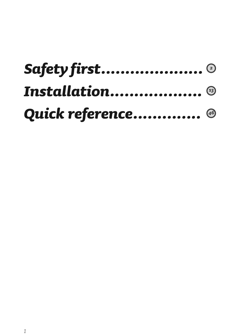| Safety first ©        |  |
|-----------------------|--|
| <b>Installation</b> ® |  |
| Quick reference 46    |  |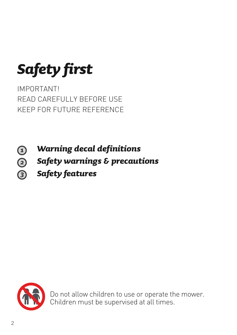*Safety first*

IMPORTANT! READ CAREFULLY BEFORE USE KEEP FOR FUTURE REFERENCE

- *Warning decal definitions* 1
- $\overline{a}$ *Safety warnings & precautions*
	- *Safety features*



Do not allow children to use or operate the mower. Children must be supervised at all times.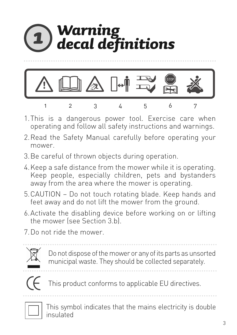

- 1.This is a dangerous power tool. Exercise care when operating and follow all safety instructions and warnings.
- 2.Read the Safety Manual carefully before operating your mower.
- 3.Be careful of thrown objects during operation.
- 4.Keep a safe distance from the mower while it is operating. Keep people, especially children, pets and bystanders away from the area where the mower is operating.
- 5.CAUTION Do not touch rotating blade. Keep hands and feet away and do not lift the mower from the ground.
- 6.Activate the disabling device before working on or lifting the mower (see Section 3.b).
- 7.Do not ride the mower.



Do not dispose of the mower or any of its parts as unsorted municipal waste. They should be collected separately.



This product conforms to applicable EU directives.



This symbol indicates that the mains electricity is double insulated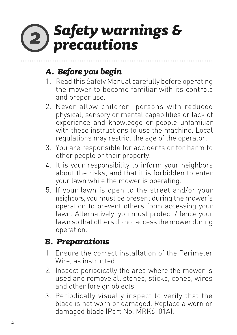### *Safety warnings &*   $\mathbf{2)}$ *precautions*

### *A. Before you begin*

- 1. Read this Safety Manual carefully before operating the mower to become familiar with its controls and proper use.
- 2. Never allow children, persons with reduced physical, sensory or mental capabilities or lack of experience and knowledge or people unfamiliar with these instructions to use the machine. Local regulations may restrict the age of the operator.
- 3. You are responsible for accidents or for harm to other people or their property.
- 4. It is your responsibility to inform your neighbors about the risks, and that it is forbidden to enter your lawn while the mower is operating.
- 5. If your lawn is open to the street and/or your neighbors, you must be present during the mower's operation to prevent others from accessing your lawn. Alternatively, you must protect / fence your lawn so that others do not access the mower during operation.

### *B. Preparations*

- 1. Ensure the correct installation of the Perimeter Wire, as instructed.
- 2. Inspect periodically the area where the mower is used and remove all stones, sticks, cones, wires and other foreign objects.
- 3. Periodically visually inspect to verify that the blade is not worn or damaged. Replace a worn or damaged blade (Part No. MRK6101A).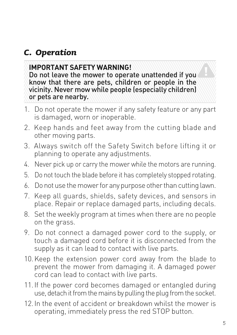### *C. Operation*

### **IMPORTANT SAFETY WARNING!**

Do not leave the mower to operate unattended if you know that there are pets, children or people in the vicinity. Never mow while people (especially children) or pets are nearby.

- 1. Do not operate the mower if any safety feature or any part is damaged, worn or inoperable.
- 2. Keep hands and feet away from the cutting blade and other moving parts.
- 3. Always switch off the Safety Switch before lifting it or planning to operate any adjustments.
- 4. Never pick up or carry the mower while the motors are running.
- 5. Do not touch the blade before it has completely stopped rotating.
- 6. Do not use the mower for any purpose other than cutting lawn.
- 7. Keep all guards, shields, safety devices, and sensors in place. Repair or replace damaged parts, including decals.
- 8. Set the weekly program at times when there are no people on the grass.
- 9. Do not connect a damaged power cord to the supply, or touch a damaged cord before it is disconnected from the supply as it can lead to contact with live parts.
- 10.Keep the extension power cord away from the blade to prevent the mower from damaging it. A damaged power cord can lead to contact with live parts.
- 11.If the power cord becomes damaged or entangled during use, detach it from the mains by pulling the plug from the socket.
- 12.In the event of accident or breakdown whilst the mower is operating, immediately press the red STOP button.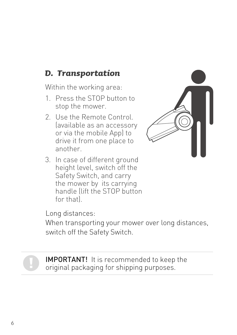### *D. Transportation*

Within the working area:

- 1. Press the STOP button to stop the mower.
- 2. Use the Remote Control. (available as an accessory or via the mobile App) to drive it from one place to another.
- 3. In case of different ground height level, switch off the Safety Switch, and carry the mower by its carrying handle (lift the STOP button for that).



Long distances:

When transporting your mower over long distances, switch off the Safety Switch.



IMPORTANT! It is recommended to keep the original packaging for shipping purposes.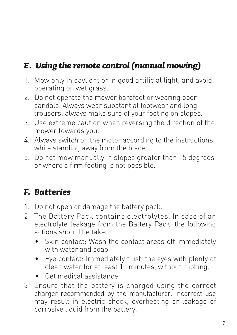### *E. Using the remote control (manual mowing)*

- 1. Mow only in daylight or in good artificial light, and avoid operating on wet grass.
- 2. Do not operate the mower barefoot or wearing open sandals. Always wear substantial footwear and long trousers; always make sure of your footing on slopes.
- 3. Use extreme caution when reversing the direction of the mower towards you.
- 4. Always switch on the motor according to the instructions while standing away from the blade.
- 5. Do not mow manually in slopes greater than 15 degrees or where a firm footing is not possible.

### *F. Batteries*

- 1. Do not open or damage the battery pack.
- 2. The Battery Pack contains electrolytes. In case of an electrolyte leakage from the Battery Pack, the following actions should be taken:
	- Skin contact: Wash the contact areas off immediately with water and soap.
	- Eye contact: Immediately flush the eyes with plenty of clean water for at least 15 minutes, without rubbing.
	- Get medical assistance.
- 3. Ensure that the battery is charged using the correct charger recommended by the manufacturer. Incorrect use may result in electric shock, overheating or leakage of corrosive liquid from the battery.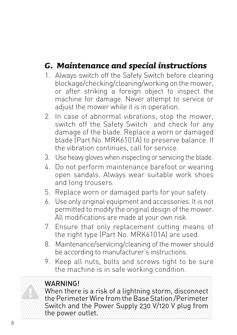### *G. Maintenance and special instructions*

- 1. Always switch off the Safety Switch before clearing blockage/checking/cleaning/working on the mower, or after striking a foreign object to inspect the machine for damage. Never attempt to service or adjust the mower while it is in operation.
- 2. In case of abnormal vibrations, stop the mower, switch off the Safety Switch and check for any damage of the blade. Replace a worn or damaged blade (Part No. MRK6101A) to preserve balance. If the vibration continues, call for service.
- 3. Use heavy gloves when inspecting or servicing the blade.
- 4. Do not perform maintenance barefoot or wearing open sandals. Always wear suitable work shoes and long trousers.
- 5. Replace worn or damaged parts for your safety.
- 6. Use only original equipment and accessories. It is not permitted to modify the original design of the mower. All modifications are made at your own risk.
- 7. Ensure that only replacement cutting means of the right type (Part No. MRK6101A) are used.
- 8. Maintenance/servicing/cleaning of the mower should be according to manufacturer's instructions.
- 9. Keep all nuts, bolts and screws tight to be sure the machine is in safe working condition.

### WARNING!

When there is a risk of a lightning storm, disconnect the Perimeter Wire from the Base Station /Perimeter Switch and the Power Supply 230 V/120 V plug from the power outlet.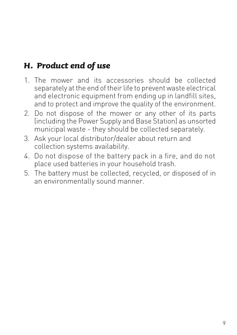### *H. Product end of use*

- 1. The mower and its accessories should be collected separately at the end of their life to prevent waste electrical and electronic equipment from ending up in landfill sites. and to protect and improve the quality of the environment.
- 2. Do not dispose of the mower or any other of its parts (including the Power Supply and Base Station) as unsorted municipal waste - they should be collected separately.
- 3. Ask your local distributor/dealer about return and collection systems availability.
- 4. Do not dispose of the battery pack in a fire, and do not place used batteries in your household trash.
- 5. The battery must be collected, recycled, or disposed of in an environmentally sound manner.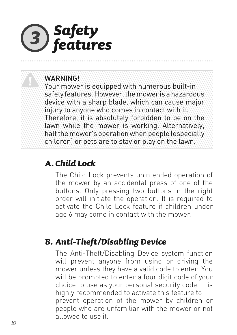

### WARNING!

Your mower is equipped with numerous built-in safety features. However, the mower is a hazardous device with a sharp blade, which can cause major injury to anyone who comes in contact with it. Therefore, it is absolutely forbidden to be on the lawn while the mower is working. Alternatively, halt the mower's operation when people (especially children) or pets are to stay or play on the lawn.

### *A. Child Lock*

The Child Lock prevents unintended operation of the mower by an accidental press of one of the buttons. Only pressing two buttons in the right order will initiate the operation. It is required to activate the Child Lock feature if children under age 6 may come in contact with the mower.

### *B. Anti-Theft/Disabling Device*

The Anti-Theft/Disabling Device system function will prevent anyone from using or driving the mower unless they have a valid code to enter. You will be prompted to enter a four digit code of your choice to use as your personal security code. It is highly recommended to activate this feature to prevent operation of the mower by children or people who are unfamiliar with the mower or not allowed to use it.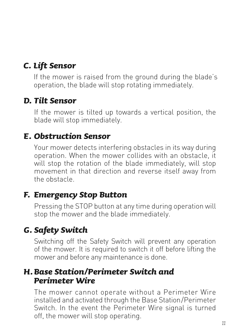### *C. Lift Sensor*

If the mower is raised from the ground during the blade's operation, the blade will stop rotating immediately.

### *D. Tilt Sensor*

If the mower is tilted up towards a vertical position, the blade will stop immediately.

### *E. Obstruction Sensor*

Your mower detects interfering obstacles in its way during operation. When the mower collides with an obstacle, it will stop the rotation of the blade immediately, will stop movement in that direction and reverse itself away from the obstacle.

### *F. Emergency Stop Button*

Pressing the STOP button at any time during operation will stop the mower and the blade immediately.

### *G. Safety Switch*

Switching off the Safety Switch will prevent any operation of the mower. It is required to switch it off before lifting the mower and before any maintenance is done.

### *H.Base Station/Perimeter Switch and Perimeter Wire*

The mower cannot operate without a Perimeter Wire installed and activated through the Base Station/Perimeter Switch. In the event the Perimeter Wire signal is turned off, the mower will stop operating.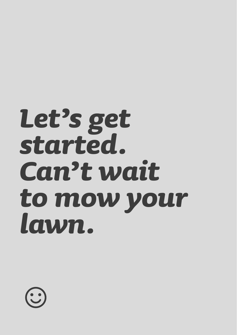# *Let's get started. Can't wait to mow your lawn.*

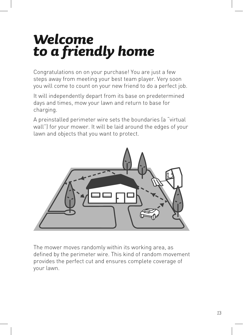### *Welcome to a friendly home*

Congratulations on on your purchase! You are just a few steps away from meeting your best team player. Very soon you will come to count on your new friend to do a perfect job.

It will independently depart from its base on predetermined days and times, mow your lawn and return to base for charging.

A preinstalled perimeter wire sets the boundaries (a "virtual wall") for your mower. It will be laid around the edges of your lawn and objects that you want to protect.



The mower moves randomly within its working area, as defined by the perimeter wire. This kind of random movement provides the perfect cut and ensures complete coverage of your lawn.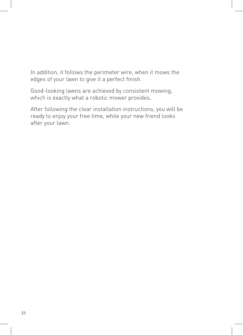In addition, it follows the perimeter wire, when it mows the edges of your lawn to give it a perfect finish.

Good-looking lawns are achieved by consistent mowing, which is exactly what a robotic mower provides.

After following the clear installation instructions, you will be ready to enjoy your free time, while your new friend looks after your lawn.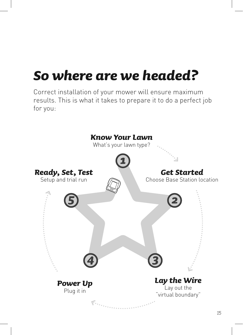### *So where are we headed?*

Correct installation of your mower will ensure maximum results. This is what it takes to prepare it to do a perfect job for you:

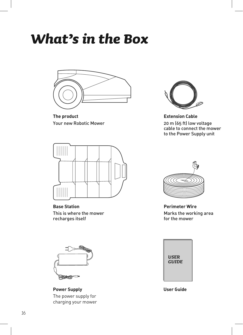### *What's in the Box*



**The product** Your new Robotic Mower



**Base Station** This is where the mower recharges itself



**Power Supply** The power supply for charging your mower



**Extension Cable** 20 m (65 ft) low voltage cable to connect the mower to the Power Supply unit



**Perimeter Wire** Marks the working area for the mower



**User Guide**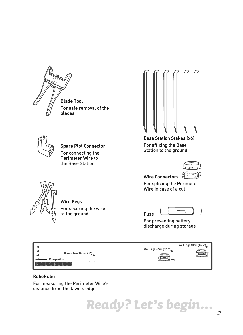





**Spare Plot Connector** For connecting the Perimeter Wire to the Base Station

For securing the wire to the ground

**Base Station Stakes (x6)** For affixing the Base Station to the ground

![](_page_16_Picture_5.jpeg)

**Wire Connectors**

For splicing the Perimeter Wire in case of a cut

![](_page_16_Picture_8.jpeg)

For preventing battery discharge during storage

|               |                         |                        | Wall Edge 40cm (15.5") |
|---------------|-------------------------|------------------------|------------------------|
|               |                         | Wall Edge 32cm (12.6") |                        |
| Wire position | Narrow Pass 14cm (5.5") | <b>BURDHAMMADE</b>     |                        |
|               |                         |                        |                        |

#### **RoboRuler**

For measuring the Perimeter Wire's distance from the lawn's edge

**Wire Pegs**

![](_page_16_Picture_13.jpeg)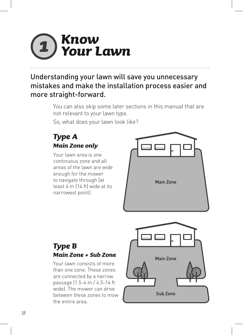### *Know Your Lawn*

Understanding your lawn will save you unnecessary mistakes and make the installation process easier and more straight-forward.

> You can also skip some later sections in this manual that are not relevant to your lawn type.

So, what does your lawn look like?

### *Type A Main Zone only*

Your lawn area is one continuous zone and all areas of the lawn are wide enough for the mower to navigate through (at least 4 m (14 ft) wide at its narrowest point).

![](_page_17_Picture_6.jpeg)

### *Type B Main Zone + Sub Zone*

Your lawn consists of more than one zone. These zones are connected by a narrow passage (1.5-4 m / 4.5-14 ft wide). The mower can drive between these zones to mow the entire area.

![](_page_17_Picture_9.jpeg)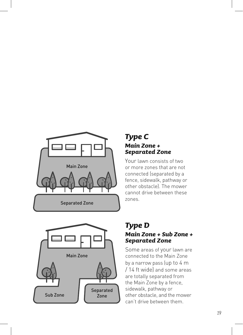![](_page_18_Picture_0.jpeg)

## Main Zone Sub Zone Separated Zone

### *Type C Main Zone + Separated Zone*

Your lawn consists of two or more zones that are not connected (separated by a fence, sidewalk, pathway or other obstacle). The mower cannot drive between these zones.

### *Type D Main Zone + Sub Zone + Separated Zone*

Some areas of your lawn are connected to the Main Zone by a narrow pass (up to 4 m / 14 ft wide) and some areas are totally separated from the Main Zone by a fence, sidewalk, pathway or other obstacle, and the mower can't drive between them.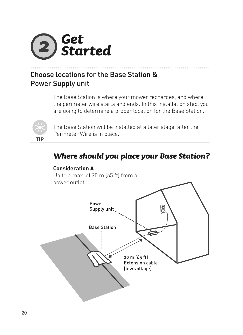![](_page_19_Picture_0.jpeg)

### Choose locations for the Base Station & Power Supply unit

The Base Station is where your mower recharges, and where the perimeter wire starts and ends. In this installation step, you are going to determine a proper location for the Base Station.

![](_page_19_Picture_3.jpeg)

The Base Station will be installed at a later stage, after the Perimeter Wire is in place.

### *Where should you place your Base Station?*

![](_page_19_Figure_6.jpeg)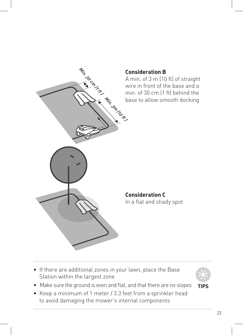![](_page_20_Figure_0.jpeg)

• If there are additional zones in your lawn, place the Base Station within the largest zone

![](_page_20_Picture_2.jpeg)

- **TIPS** • Make sure the ground is even and flat, and that there are no slopes
- Keep a minimum of 1 meter / 3.3 feet from a sprinkler head to avoid damaging the mower's internal components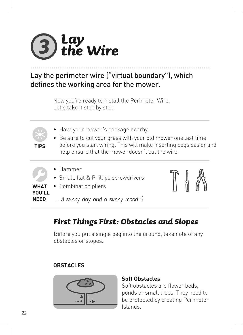![](_page_21_Picture_0.jpeg)

Lay the perimeter wire ("virtual boundary"), which defines the working area for the mower.

> Now you're ready to install the Perimeter Wire. Let's take it step by step.

- Have your mower's package nearby.
- Be sure to cut your grass with your old mower one last time before you start wiring. This will make inserting pegs easier and help ensure that the mower doesn't cut the wire.
	- Hammer

**TIPS**

- Small, flat & Phillips screwdrivers
- **WHAT YOU'LL NEED** • Combination pliers ... A sunny day and a sunny mood :)

*First Things First: Obstacles and Slopes*

Before you put a single peg into the ground, take note of any obstacles or slopes.

#### **OBSTACLES**

![](_page_21_Picture_12.jpeg)

#### **Soft Obstacles**

Soft obstacles are flower beds, ponds or small trees. They need to be protected by creating Perimeter Islands.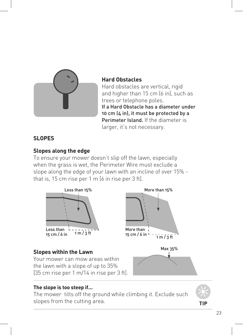![](_page_22_Picture_0.jpeg)

#### **Hard Obstacles**

Hard obstacles are vertical, rigid and higher than 15 cm (6 in), such as trees or telephone poles. If a Hard Obstacle has a diameter under 10 cm (4 in), it must be protected by a Perimeter Island. If the diameter is larger, it's not necessary.

### **SLOPES**

#### **Slopes along the edge**

To ensure your mower doesn't slip off the lawn, especially when the grass is wet, the Perimeter Wire must exclude a slope along the edge of your lawn with an incline of over 15% that is, 15 cm rise per 1 m [6 in rise per 3 ft].

![](_page_22_Figure_6.jpeg)

#### **The slope is too steep if...**

The mower tilts off the ground while climbing it. Exclude such slopes from the cutting area.

**TIP**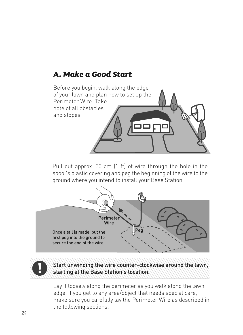### *A. Make a Good Start*

![](_page_23_Picture_1.jpeg)

Pull out approx. 30 cm (1 ft) of wire through the hole in the spool's plastic covering and peg the beginning of the wire to the ground where you intend to install your Base Station.

![](_page_23_Figure_3.jpeg)

![](_page_23_Picture_4.jpeg)

Start unwinding the wire counter-clockwise around the lawn, starting at the Base Station's location.

Lay it loosely along the perimeter as you walk along the lawn edge. If you get to any area/object that needs special care, make sure you carefully lay the Perimeter Wire as described in the following sections.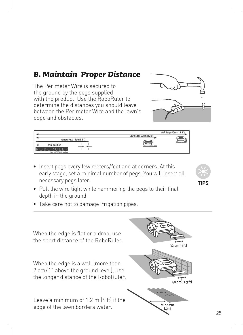### *B. Maintain Proper Distance*

The Perimeter Wire is secured to the ground by the pegs supplied with the product. Use the RoboRuler to determine the distances you should leave between the Perimeter Wire and the lawn's edge and obstacles.

![](_page_24_Figure_2.jpeg)

![](_page_24_Figure_3.jpeg)

• Insert pegs every few meters/feet and at corners. At this early stage, set a minimal number of pegs. You will insert all necessary pegs later.

![](_page_24_Picture_5.jpeg)

- Pull the wire tight while hammering the pegs to their final depth in the ground.
- Take care not to damage irrigation pipes.

![](_page_24_Figure_8.jpeg)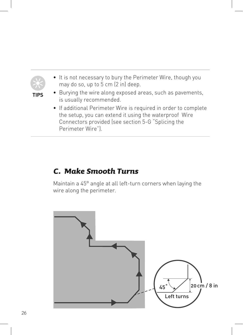![](_page_25_Figure_0.jpeg)

### *C. Make Smooth Turns*

Perimeter Wire").

Maintain a 45° angle at all left-turn corners when laying the wire along the perimeter.

![](_page_25_Figure_3.jpeg)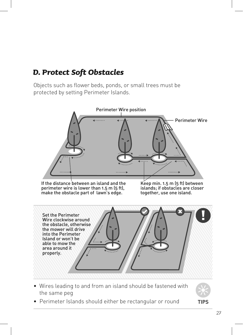### *D. Protect Soft Obstacles*

Objects such as flower beds, ponds, or small trees must be protected by setting Perimeter Islands.

![](_page_26_Figure_2.jpeg)

- Wires leading to and from an island should be fastened with the same peg
- Perimeter Islands should either be rectangular or round

![](_page_26_Picture_5.jpeg)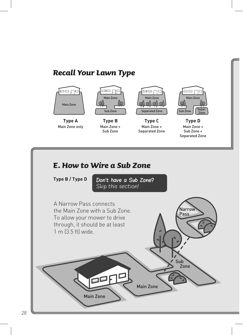### *Recall Your Lawn Type*

![](_page_27_Picture_1.jpeg)

**Type A**  Main Zone only

![](_page_27_Picture_3.jpeg)

**Type B**  Main Zone + Sub Zone

![](_page_27_Picture_5.jpeg)

**Type C**  Main Zone + Separated Zone

![](_page_27_Picture_7.jpeg)

**Type D**  Main Zone + Sub Zone + Separated Zone

### *E. How to Wire a Sub Zone*

**Type B / Type D**

Don't have a Sub Zone? Skip this section!

![](_page_27_Picture_12.jpeg)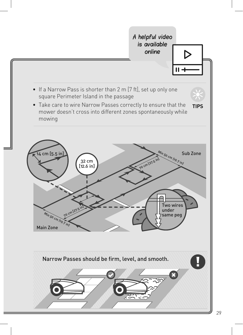![](_page_28_Figure_0.jpeg)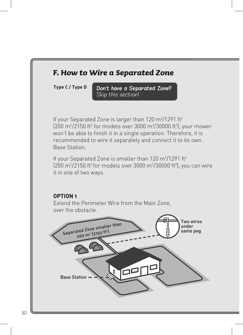![](_page_29_Figure_0.jpeg)

**Type C / Type D**

Don't have a Separated Zone? Skip this section!

If your Separated Zone is larger than 120 m $^{2}/1291$  ft<sup>2</sup>  $(200 \text{ m}^2/2150 \text{ ft}^2 \text{ for models over } 3000 \text{ m}^2/30000 \text{ ft}^2)$ , your mower won't be able to finish it in a single operation. Therefore, it is recommended to wire it separately and connect it to its own Base Station.

If your Separated Zone is smaller than 120 m $^{2}/1291$  ft $^{2}$  $(200 \text{ m}^2/2150 \text{ ft}^2 \text{ for models over } 3000 \text{ m}^2/30000 \text{ ft}^2)$ , you can wire it in one of two ways.

#### **OPTION 1**

Extend the Perimeter Wire from the Main Zone, over the obstacle.

![](_page_29_Picture_7.jpeg)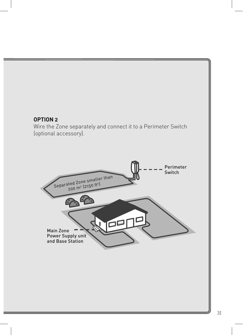#### **OPTION 2**

Wire the Zone separately and connect it to a Perimeter Switch (optional accessory).

![](_page_30_Picture_2.jpeg)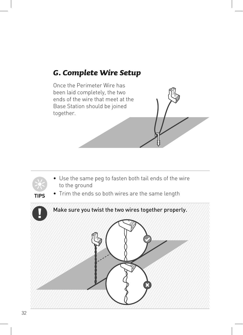### *G. Complete Wire Setup*

Once the Perimeter Wire has been laid completely, the two ends of the wire that meet at the Base Station should be joined together.

![](_page_31_Picture_2.jpeg)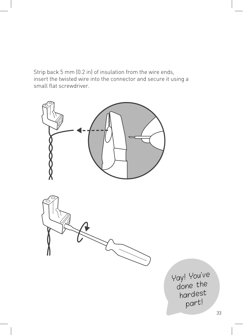Strip back 5 mm (0.2 in) of insulation from the wire ends, insert the twisted wire into the connector and secure it using a small flat screwdriver.

![](_page_32_Figure_1.jpeg)

![](_page_32_Figure_2.jpeg)

Yay! You've done the hardest part!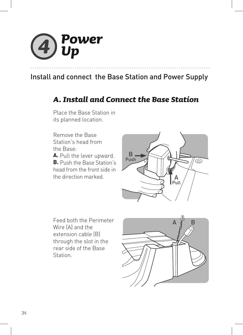![](_page_33_Picture_0.jpeg)

### Install and connect the Base Station and Power Supply

### *A. Install and Connect the Base Station*

Place the Base Station in its planned location.

Remove the Base Station's head from the Base: **A.** Pull the lever upward. **B.** Push the Base Station's head from the front side in

the direction marked.

B Push  $\circledcirc$ A Pull

Feed both the Perimeter Wire (A) and the extension cable (B) through the slot in the rear side of the Base **Station** 

![](_page_33_Picture_7.jpeg)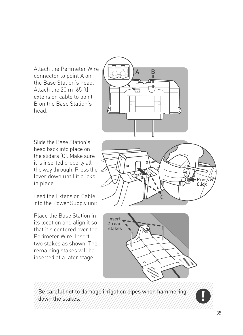Attach the Perimeter Wire connector to point A on the Base Station's head. Attach the 20 m (65 ft) extension cable to point B on the Base Station's head.

![](_page_34_Figure_1.jpeg)

Slide the Base Station's head back into place on the sliders (C). Make sure it is inserted properly all the way through. Press the lever down until it clicks in place.

Feed the Extension Cable into the Power Supply unit.

Place the Base Station in its location and align it so that it's centered over the Perimeter Wire. Insert two stakes as shown. The remaining stakes will be inserted at a later stage.

![](_page_34_Picture_5.jpeg)

![](_page_34_Figure_6.jpeg)

Be careful not to damage irrigation pipes when hammering down the stakes.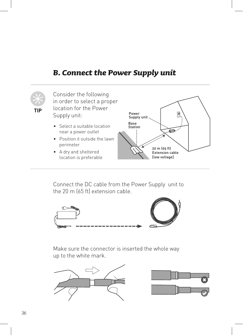### *B. Connect the Power Supply unit*

![](_page_35_Picture_1.jpeg)

Consider the following in order to select a proper **TIP** location for the Power<br>Supply up it Supply unit:

- Select a suitable location near a power outlet
- Position it outside the lawn perimeter
- A dry and sheltered location is preferable

![](_page_35_Figure_6.jpeg)

Connect the DC cable from the Power Supply unit to the 20 m (65 ft) extension cable.

![](_page_35_Picture_8.jpeg)

Make sure the connector is inserted the whole way up to the white mark.

![](_page_35_Figure_10.jpeg)

![](_page_35_Picture_11.jpeg)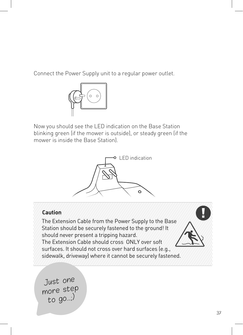Connect the Power Supply unit to a regular power outlet.

![](_page_36_Picture_1.jpeg)

Now you should see the LED indication on the Base Station blinking green (if the mower is outside), or steady green (if the mower is inside the Base Station).

![](_page_36_Picture_3.jpeg)

#### **Caution**

The Extension Cable from the Power Supply to the Base Station should be securely fastened to the ground! It should never present a tripping hazard. The Extension Cable should cross ONLY over soft surfaces. It should not cross over hard surfaces (e.g., sidewalk, driveway) where it cannot be securely fastened.

Just one more step to go...;)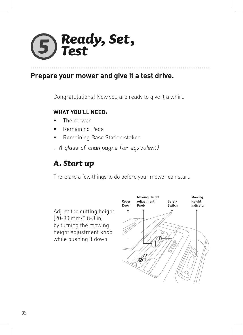### *Ready, Set, Test*

### **Prepare your mower and give it a test drive.**

Congratulations! Now you are ready to give it a whirl.

### **WHAT YOU'LL NEED:**

- The mower
- Remaining Pegs
- Remaining Base Station stakes
- ... A glass of champagne (or equivalent)

### *A. Start up*

There are a few things to do before your mower can start.

Adjust the cutting height (20-80 mm/0.8-3 in) by turning the mowing height adjustment knob while pushing it down.

![](_page_37_Figure_11.jpeg)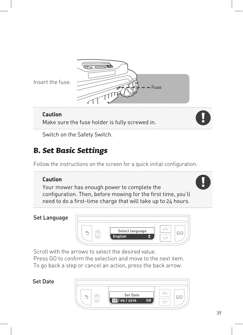![](_page_38_Picture_0.jpeg)

Insert the fuse.

### **Caution** Make sure the fuse holder is fully screwed in.

Switch on the Safety Switch.

### *B. Set Basic Settings*

Follow the instructions on the screen for a quick initial configuration.

### **Caution**

Your mower has enough power to complete the configuration. Then, before mowing for the first time, you'll need to do a first-time charge that will take up to 24 hours.

### Set Language

![](_page_38_Figure_9.jpeg)

Scroll with the arrows to select the desired value.

Press GO to confirm the selection and move to the next item. To go back a step or cancel an action, press the back arrow.

### Set Date

![](_page_38_Picture_13.jpeg)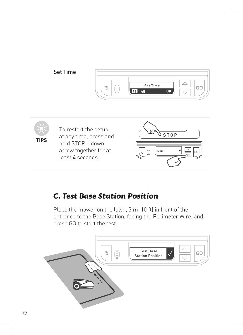![](_page_39_Figure_0.jpeg)

![](_page_39_Picture_1.jpeg)

To restart the setup at any time, press and hold  $STOP + down$ arrow together for at least 4 seconds.

![](_page_39_Picture_3.jpeg)

### *C. Test Base Station Position*

Place the mower on the lawn, 3 m (10 ft) in front of the entrance to the Base Station, facing the Perimeter Wire, and press GO to start the test.

![](_page_39_Figure_6.jpeg)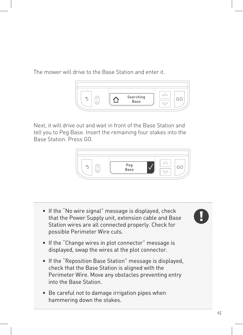The mower will drive to the Base Station and enter it.

![](_page_40_Picture_1.jpeg)

Next, it will drive out and wait in front of the Base Station and tell you to Peg Base. Insert the remaining four stakes into the Base Station. Press GO.

![](_page_40_Picture_3.jpeg)

![](_page_40_Picture_4.jpeg)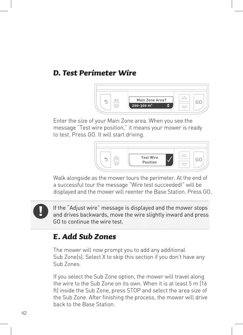### *D. Test Perimeter Wire*

![](_page_41_Picture_1.jpeg)

Enter the size of your Main Zone area. When you see the message "Test wire position," it means your mower is ready to test. Press GO. It will start driving.

![](_page_41_Figure_3.jpeg)

Walk alongside as the mower tours the perimeter. At the end of a successful tour the message "Wire test succeeded!" will be displayed and the mower will reenter the Base Station. Press GO.

If the "Adjust wire" message is displayed and the mower stops and drives backwards, move the wire slightly inward and press GO to continue the wire test.

### *E. Add Sub Zones*

The mower will now prompt you to add any additional Sub Zone(s). Select X to skip this section if you don't have any Sub Zones.

If you select the Sub Zone option, the mower will travel along the wire to the Sub Zone on its own. When it is at least 5 m (16 ft) inside the Sub Zone, press STOP and select the area size of the Sub Zone. After finishing the process, the mower will drive back to the Base Station.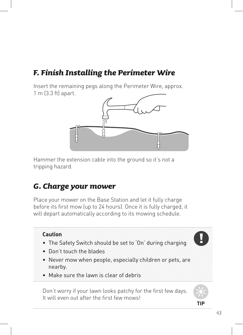### *F. Finish Installing the Perimeter Wire*

Insert the remaining pegs along the Perimeter Wire, approx. 1 m (3.3 ft) apart.

![](_page_42_Figure_2.jpeg)

Hammer the extension cable into the ground so it's not a tripping hazard.

### *G. Charge your mower*

Place your mower on the Base Station and let it fully charge before its first mow (up to 24 hours). Once it is fully charged, it will depart automatically according to its mowing schedule.

![](_page_42_Picture_6.jpeg)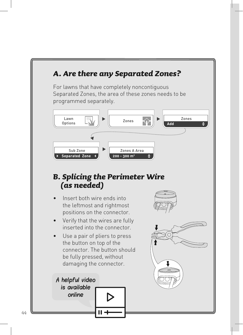![](_page_43_Figure_0.jpeg)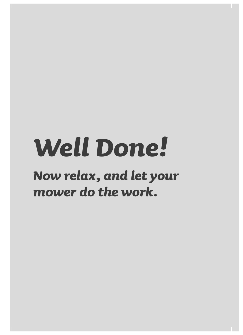# *Well Done!*

### *Now relax, and let your mower do the work.*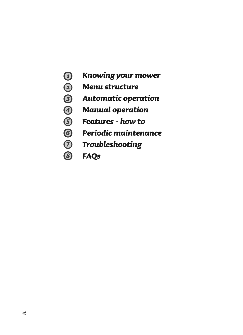- *Knowing your mower*
- *Menu structure*
- *Automatic operation*
- $\Theta$   $\Theta$   $\Theta$   $\Theta$ *Manual operation*
- *Features how to*
- *Periodic maintenance*
- *Troubleshooting*
- 8 *FAQs*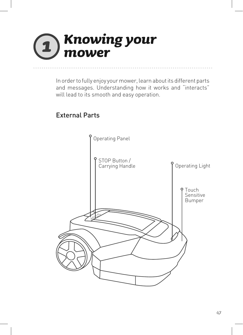### *Knowing your*  7 *mower*

In order to fully enjoy your mower, learn about its different parts and messages. Understanding how it works and "interacts" will lead to its smooth and easy operation.

### External Parts

![](_page_46_Figure_3.jpeg)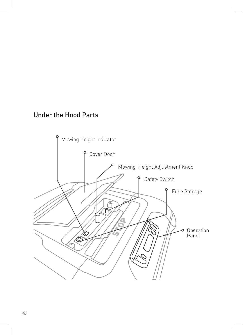### Under the Hood Parts

![](_page_47_Figure_1.jpeg)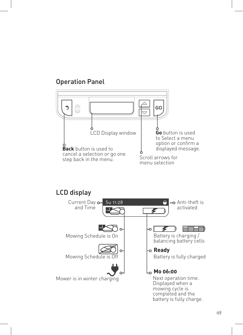### Operation Panel

![](_page_48_Figure_1.jpeg)

### LCD display

![](_page_48_Figure_3.jpeg)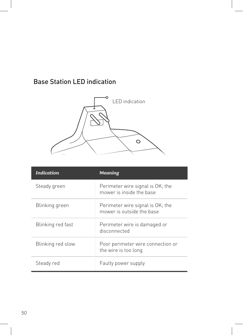### Base Station LED indication

![](_page_49_Picture_1.jpeg)

| <i>Indication</i> | <b>Meaning</b>                                                |
|-------------------|---------------------------------------------------------------|
| Steady green      | Perimeter wire signal is OK; the<br>mower is inside the base  |
| Blinking green    | Perimeter wire signal is OK; the<br>mower is outside the base |
| Blinking red fast | Perimeter wire is damaged or<br>disconnected                  |
| Blinking red slow | Poor perimeter wire connection or<br>the wire is too long     |
| Steady red        | Faulty power supply                                           |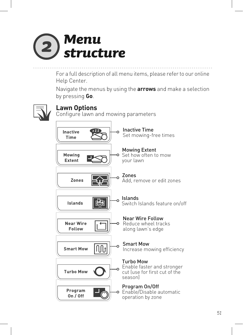![](_page_50_Picture_0.jpeg)

For a full description of all menu items, please refer to our online Help Center.

Navigate the menus by using the **arrows** and make a selection by pressing **Go**.

![](_page_50_Picture_3.jpeg)

### **Lawn Options**

Configure lawn and mowing parameters

![](_page_50_Figure_6.jpeg)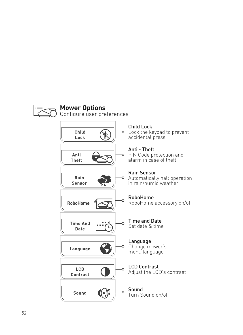![](_page_51_Figure_0.jpeg)

### **Mower Options**

Configure user preferences

![](_page_51_Figure_3.jpeg)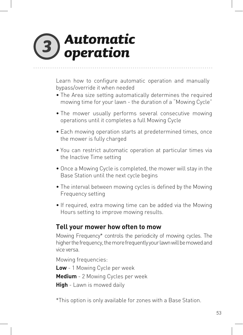### *Automatic operation*

Learn how to configure automatic operation and manually bypass/override it when needed

- The Area size setting automatically determines the required mowing time for your lawn - the duration of a "Mowing Cycle"
- The mower usually performs several consecutive mowing operations until it completes a full Mowing Cycle
- Each mowing operation starts at predetermined times, once the mower is fully charged
- You can restrict automatic operation at particular times via the Inactive Time setting
- Once a Mowing Cycle is completed, the mower will stay in the Base Station until the next cycle begins
- The interval between mowing cycles is defined by the Mowing Frequency setting
- If required, extra mowing time can be added via the Mowing Hours setting to improve mowing results.

### **Tell your mower how often to mow**

Mowing Frequency\* controls the periodicity of mowing cycles. The higher the frequency, the more frequently your lawn will be mowed and vice versa.

Mowing frequencies:

**Low** - 1 Mowing Cycle per week **Medium** - 2 Mowing Cycles per week **High** - Lawn is mowed daily

\*This option is only available for zones with a Base Station.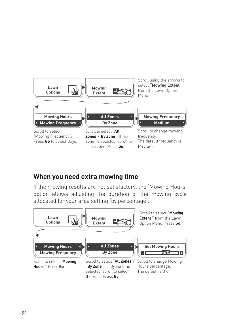![](_page_53_Figure_0.jpeg)

### **When you need extra mowing time**

If the mowing results are not satisfactory, the 'Mowing Hours' option allows adjusting the duration of the mowing cycle allocated for your area setting (by percentage):

![](_page_53_Figure_3.jpeg)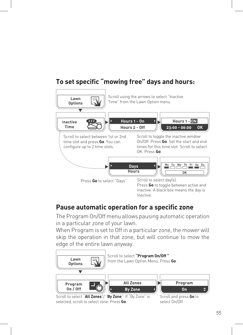### **To set specific "mowing free" days and hours:**

![](_page_54_Picture_1.jpeg)

### **Pause automatic operation for a specific zone**

The Program On/Off menu allows pausing automatic operation in a particular zone of your lawn.

When Program is set to Off in a particular zone, the mower will skip the operation in that zone, but will continue to mow the edge of the entire lawn anyway.

![](_page_54_Figure_5.jpeg)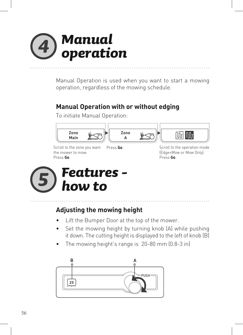### *Manual operation*

Manual Operation is used when you want to start a mowing operation, regardless of the mowing schedule.

### **Manual Operation with or without edging**

To initiate Manual Operation:

![](_page_55_Figure_4.jpeg)

Scroll to the zone you want the mower to mow. Press **Go**.

Press Go. Scroll to the operation mode (Edge+Mow or Mow Only). Press **Go**.

![](_page_55_Picture_7.jpeg)

### **Adjusting the mowing height**

- Lift the Bumper Door at the top of the mower.
- Set the mowing height by turning knob (A) while pushing it down. The cutting height is displayed to the left of knob (B)
- The mowing height's range is 20-80 mm (0.8-3 in)

![](_page_55_Figure_12.jpeg)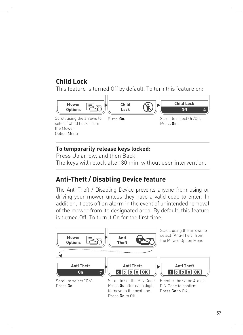### **Child Lock**

This feature is turned Off by default. To turn this feature on:

![](_page_56_Figure_2.jpeg)

#### **To temporarily release keys locked:**

Press Up arrow, and then Back. The keys will relock after 30 min. without user intervention.

### **Anti-Theft / Disabling Device feature**

The Anti-Theft / Disabling Device prevents anyone from using or driving your mower unless they have a valid code to enter. In addition, it sets off an alarm in the event of unintended removal of the mower from its designated area. By default, this feature is turned Off. To turn it On for the first time:

![](_page_56_Figure_7.jpeg)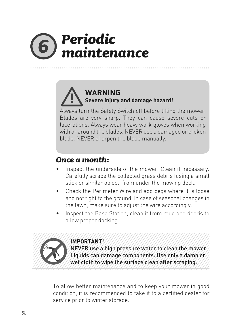### *Periodic maintenance*

### **WARNING Severe injury and damage hazard!**

Always turn the Safety Switch off before lifting the mower. Blades are very sharp. They can cause severe cuts or lacerations. Always wear heavy work gloves when working with or around the blades. NEVER use a damaged or broken blade. NEVER sharpen the blade manually.

### *Once a month:*

- Inspect the underside of the mower. Clean if necessary. Carefully scrape the collected grass debris (using a small stick or similar object) from under the mowing deck.
- Check the Perimeter Wire and add pegs where it is loose and not tight to the ground. In case of seasonal changes in the lawn, make sure to adjust the wire accordingly.
- Inspect the Base Station, clean it from mud and debris to allow proper docking.

![](_page_57_Picture_7.jpeg)

#### **IMPORTANT!**

NEVER use a high pressure water to clean the mower. Liquids can damage components. Use only a damp or wet cloth to wipe the surface clean after scraping.

To allow better maintenance and to keep your mower in good condition, it is recommended to take it to a certified dealer for service prior to winter storage.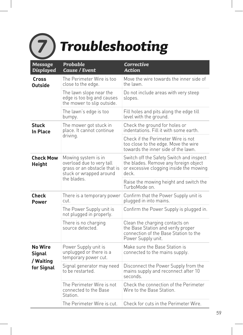### *Troubleshooting*

| <b>Message</b><br><b>Displayed</b>                         | Probable<br><b>Cause / Event</b>                                                                            | <b>Corrective</b><br><b>Action</b>                                                                                                    |
|------------------------------------------------------------|-------------------------------------------------------------------------------------------------------------|---------------------------------------------------------------------------------------------------------------------------------------|
| Cross<br><b>Outside</b>                                    | The Perimeter Wire is too<br>close to the edge.                                                             | Move the wire towards the inner side of<br>the lawn.                                                                                  |
|                                                            | The lawn slope near the<br>edge is too big and causes<br>the mower to slip outside.                         | Do not include areas with very steep<br>slopes.                                                                                       |
|                                                            | The lawn's edge is too<br>bumpy.                                                                            | Fill holes and pits along the edge till<br>level with the ground.                                                                     |
| <b>Stuck</b><br><b>In Place</b>                            | The mower got stuck in<br>place. It cannot continue                                                         | Check the ground for holes or<br>indentations. Fill it with some earth.                                                               |
|                                                            | driving.                                                                                                    | Check if the Perimeter Wire is not<br>too close to the edge. Move the wire<br>towards the inner side of the lawn.                     |
| <b>Check Mow</b><br><b>Height</b>                          | Mowing system is in<br>overload due to very tall<br>grass or an obstacle that is<br>stuck or wrapped around | Switch off the Safety Switch and inspect<br>the blades. Remove any foreign object<br>or excessive clogging inside the mowing<br>deck. |
|                                                            | the blades.                                                                                                 | Raise the mowing height and switch the<br>TurboMode on                                                                                |
| <b>Check</b><br><b>Power</b>                               | There is a temporary power<br>cut.                                                                          | Confirm that the Power Supply unit is<br>plugged in into mains.                                                                       |
|                                                            | The Power Supply unit is<br>not plugged in properly.                                                        | Confirm the Power Supply is plugged in.                                                                                               |
|                                                            | There is no charging<br>source detected.                                                                    | Clean the charging contacts on<br>the Base Station and verify proper<br>connection of the Base Station to the<br>Power Supply unit.   |
| <b>No Wire</b><br><b>Signal</b><br>/ Waiting<br>for Signal | Power Supply unit is<br>unplugged or there is a<br>temporary power cut.                                     | Make sure the Base Station is<br>connected to the mains supply.                                                                       |
|                                                            | Signal generator may need<br>to be restarted.                                                               | Disconnect the Power Supply from the<br>mains supply and reconnect after 10<br>seconds.                                               |
|                                                            | The Perimeter Wire is not<br>connected to the Base<br>Station.                                              | Check the connection of the Perimeter<br>Wire to the Base Station.                                                                    |
|                                                            | The Perimeter Wire is cut.                                                                                  | Check for cuts in the Perimeter Wire.                                                                                                 |